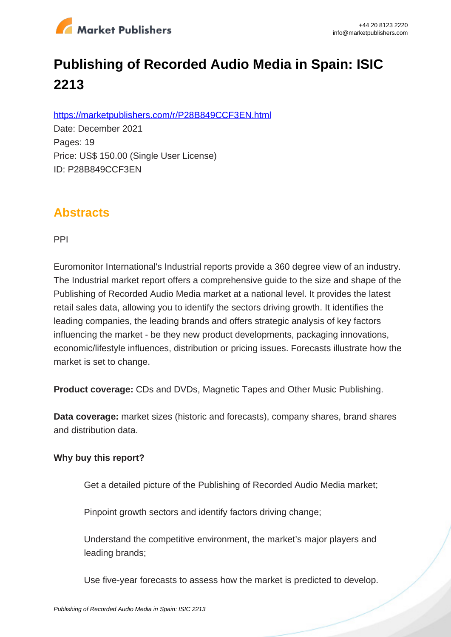

# **Publishing of Recorded Audio Media in Spain: ISIC 2213**

https://marketpublishers.com/r/P28B849CCF3EN.html

Date: December 2021 Pages: 19 Price: US\$ 150.00 (Single User License) ID: P28B849CCF3EN

## **Abstracts**

PPI

Euromonitor International's Industrial reports provide a 360 degree view of an industry. The Industrial market report offers a comprehensive guide to the size and shape of the Publishing of Recorded Audio Media market at a national level. It provides the latest retail sales data, allowing you to identify the sectors driving growth. It identifies the leading companies, the leading brands and offers strategic analysis of key factors influencing the market - be they new product developments, packaging innovations, economic/lifestyle influences, distribution or pricing issues. Forecasts illustrate how the market is set to change.

**Product coverage:** CDs and DVDs, Magnetic Tapes and Other Music Publishing.

**Data coverage:** market sizes (historic and forecasts), company shares, brand shares and distribution data.

#### **Why buy this report?**

Get a detailed picture of the Publishing of Recorded Audio Media market;

Pinpoint growth sectors and identify factors driving change;

Understand the competitive environment, the market's major players and leading brands;

Use five-year forecasts to assess how the market is predicted to develop.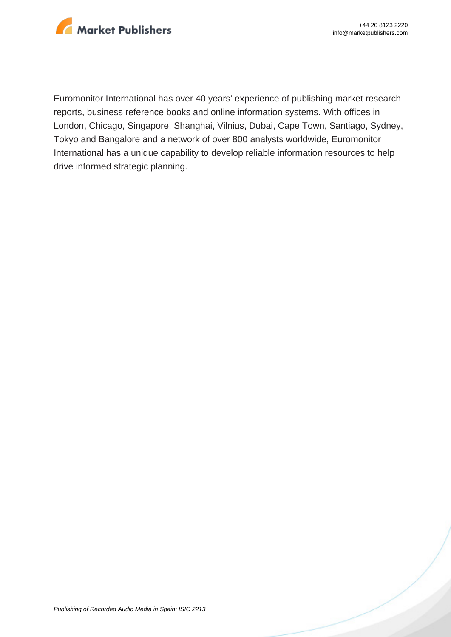

Euromonitor International has over 40 years' experience of publishing market research reports, business reference books and online information systems. With offices in London, Chicago, Singapore, Shanghai, Vilnius, Dubai, Cape Town, Santiago, Sydney, Tokyo and Bangalore and a network of over 800 analysts worldwide, Euromonitor International has a unique capability to develop reliable information resources to help drive informed strategic planning.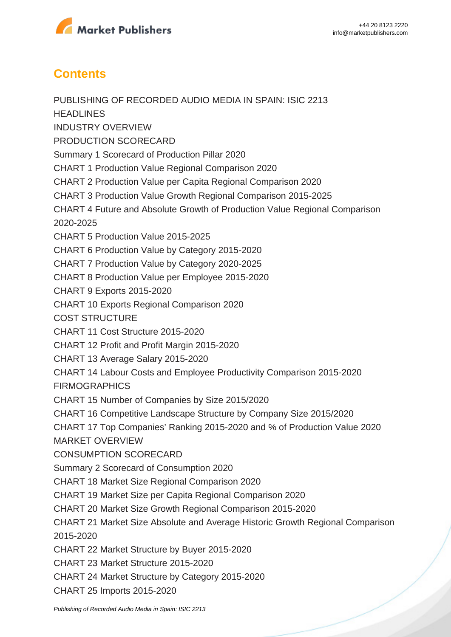

## **Contents**

PUBLISHING OF RECORDED AUDIO MEDIA IN SPAIN: ISIC 2213 **HEADLINES** INDUSTRY OVERVIEW PRODUCTION SCORECARD Summary 1 Scorecard of Production Pillar 2020 CHART 1 Production Value Regional Comparison 2020 CHART 2 Production Value per Capita Regional Comparison 2020 CHART 3 Production Value Growth Regional Comparison 2015-2025 CHART 4 Future and Absolute Growth of Production Value Regional Comparison 2020-2025 CHART 5 Production Value 2015-2025 CHART 6 Production Value by Category 2015-2020 CHART 7 Production Value by Category 2020-2025 CHART 8 Production Value per Employee 2015-2020 CHART 9 Exports 2015-2020 CHART 10 Exports Regional Comparison 2020 COST STRUCTURE CHART 11 Cost Structure 2015-2020 CHART 12 Profit and Profit Margin 2015-2020 CHART 13 Average Salary 2015-2020 CHART 14 Labour Costs and Employee Productivity Comparison 2015-2020 FIRMOGRAPHICS CHART 15 Number of Companies by Size 2015/2020 CHART 16 Competitive Landscape Structure by Company Size 2015/2020 CHART 17 Top Companies' Ranking 2015-2020 and % of Production Value 2020 MARKET OVERVIEW CONSUMPTION SCORECARD Summary 2 Scorecard of Consumption 2020 CHART 18 Market Size Regional Comparison 2020 CHART 19 Market Size per Capita Regional Comparison 2020 CHART 20 Market Size Growth Regional Comparison 2015-2020 CHART 21 Market Size Absolute and Average Historic Growth Regional Comparison 2015-2020 CHART 22 Market Structure by Buyer 2015-2020 CHART 23 Market Structure 2015-2020 CHART 24 Market Structure by Category 2015-2020 CHART 25 Imports 2015-2020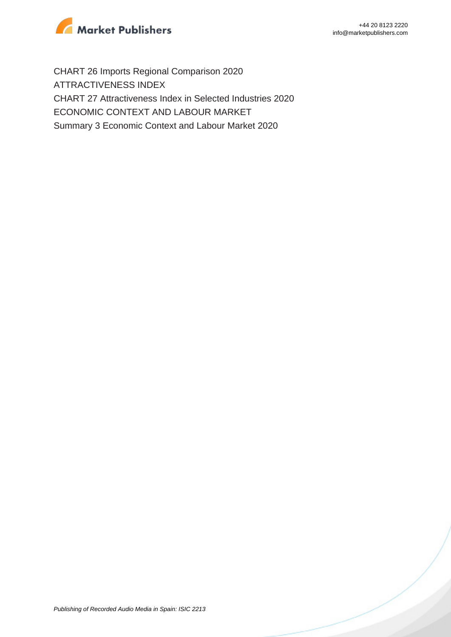

CHART 26 Imports Regional Comparison 2020 ATTRACTIVENESS INDEX CHART 27 Attractiveness Index in Selected Industries 2020 ECONOMIC CONTEXT AND LABOUR MARKET Summary 3 Economic Context and Labour Market 2020